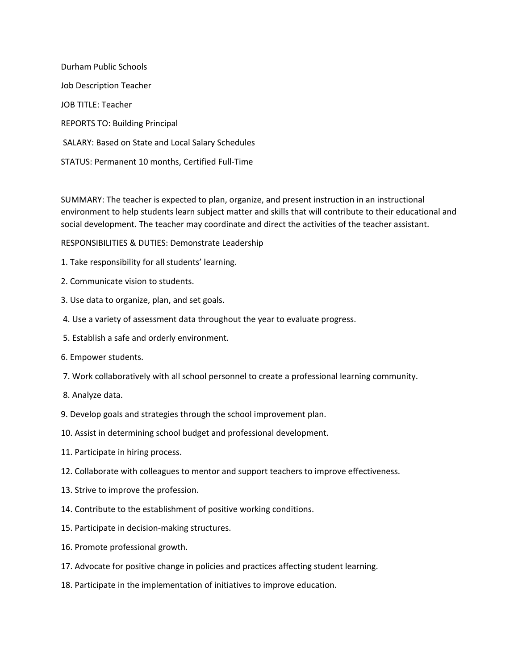Durham Public Schools Job Description Teacher JOB TITLE: Teacher REPORTS TO: Building Principal SALARY: Based on State and Local Salary Schedules STATUS: Permanent 10 months, Certified Full-Time

SUMMARY: The teacher is expected to plan, organize, and present instruction in an instructional environment to help students learn subject matter and skills that will contribute to their educational and social development. The teacher may coordinate and direct the activities of the teacher assistant.

RESPONSIBILITIES & DUTIES: Demonstrate Leadership

- 1. Take responsibility for all students' learning.
- 2. Communicate vision to students.
- 3. Use data to organize, plan, and set goals.
- 4. Use a variety of assessment data throughout the year to evaluate progress.
- 5. Establish a safe and orderly environment.
- 6. Empower students.
- 7. Work collaboratively with all school personnel to create a professional learning community.
- 8. Analyze data.
- 9. Develop goals and strategies through the school improvement plan.
- 10. Assist in determining school budget and professional development.
- 11. Participate in hiring process.
- 12. Collaborate with colleagues to mentor and support teachers to improve effectiveness.
- 13. Strive to improve the profession.
- 14. Contribute to the establishment of positive working conditions.
- 15. Participate in decision-making structures.
- 16. Promote professional growth.
- 17. Advocate for positive change in policies and practices affecting student learning.
- 18. Participate in the implementation of initiatives to improve education.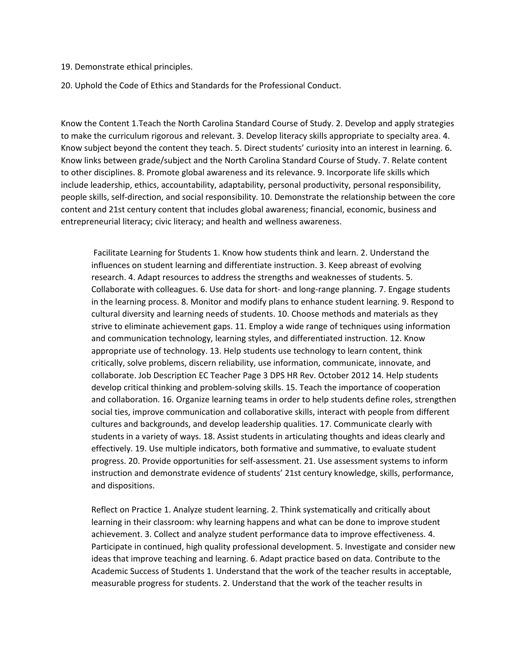19. Demonstrate ethical principles.

20. Uphold the Code of Ethics and Standards for the Professional Conduct.

Know the Content 1.Teach the North Carolina Standard Course of Study. 2. Develop and apply strategies to make the curriculum rigorous and relevant. 3. Develop literacy skills appropriate to specialty area. 4. Know subject beyond the content they teach. 5. Direct students' curiosity into an interest in learning. 6. Know links between grade/subject and the North Carolina Standard Course of Study. 7. Relate content to other disciplines. 8. Promote global awareness and its relevance. 9. Incorporate life skills which include leadership, ethics, accountability, adaptability, personal productivity, personal responsibility, people skills, self-direction, and social responsibility. 10. Demonstrate the relationship between the core content and 21st century content that includes global awareness; financial, economic, business and entrepreneurial literacy; civic literacy; and health and wellness awareness.

Facilitate Learning for Students 1. Know how students think and learn. 2. Understand the influences on student learning and differentiate instruction. 3. Keep abreast of evolving research. 4. Adapt resources to address the strengths and weaknesses of students. 5. Collaborate with colleagues. 6. Use data for short- and long-range planning. 7. Engage students in the learning process. 8. Monitor and modify plans to enhance student learning. 9. Respond to cultural diversity and learning needs of students. 10. Choose methods and materials as they strive to eliminate achievement gaps. 11. Employ a wide range of techniques using information and communication technology, learning styles, and differentiated instruction. 12. Know appropriate use of technology. 13. Help students use technology to learn content, think critically, solve problems, discern reliability, use information, communicate, innovate, and collaborate. Job Description EC Teacher Page 3 DPS HR Rev. October 2012 14. Help students develop critical thinking and problem-solving skills. 15. Teach the importance of cooperation and collaboration. 16. Organize learning teams in order to help students define roles, strengthen social ties, improve communication and collaborative skills, interact with people from different cultures and backgrounds, and develop leadership qualities. 17. Communicate clearly with students in a variety of ways. 18. Assist students in articulating thoughts and ideas clearly and effectively. 19. Use multiple indicators, both formative and summative, to evaluate student progress. 20. Provide opportunities for self-assessment. 21. Use assessment systems to inform instruction and demonstrate evidence of students' 21st century knowledge, skills, performance, and dispositions.

Reflect on Practice 1. Analyze student learning. 2. Think systematically and critically about learning in their classroom: why learning happens and what can be done to improve student achievement. 3. Collect and analyze student performance data to improve effectiveness. 4. Participate in continued, high quality professional development. 5. Investigate and consider new ideas that improve teaching and learning. 6. Adapt practice based on data. Contribute to the Academic Success of Students 1. Understand that the work of the teacher results in acceptable, measurable progress for students. 2. Understand that the work of the teacher results in